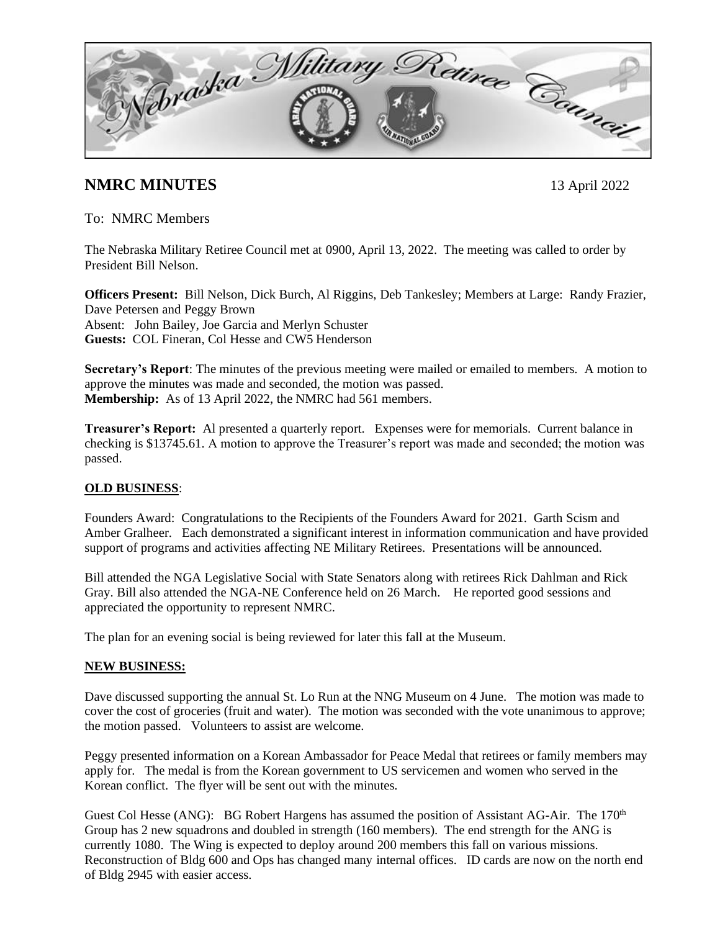Sebraska Military Retiree Cannair

# **NMRC MINUTES** 13 April 2022

To: NMRC Members

The Nebraska Military Retiree Council met at 0900, April 13, 2022. The meeting was called to order by President Bill Nelson.

**Officers Present:** Bill Nelson, Dick Burch, Al Riggins, Deb Tankesley; Members at Large: Randy Frazier, Dave Petersen and Peggy Brown Absent: John Bailey, Joe Garcia and Merlyn Schuster **Guests:** COL Fineran, Col Hesse and CW5 Henderson

**Secretary's Report**: The minutes of the previous meeting were mailed or emailed to members. A motion to approve the minutes was made and seconded, the motion was passed. **Membership:** As of 13 April 2022, the NMRC had 561 members.

**Treasurer's Report:** Al presented a quarterly report. Expenses were for memorials. Current balance in checking is \$13745.61. A motion to approve the Treasurer's report was made and seconded; the motion was passed.

## **OLD BUSINESS**:

Founders Award: Congratulations to the Recipients of the Founders Award for 2021. Garth Scism and Amber Gralheer. Each demonstrated a significant interest in information communication and have provided support of programs and activities affecting NE Military Retirees. Presentations will be announced.

Bill attended the NGA Legislative Social with State Senators along with retirees Rick Dahlman and Rick Gray. Bill also attended the NGA-NE Conference held on 26 March. He reported good sessions and appreciated the opportunity to represent NMRC.

The plan for an evening social is being reviewed for later this fall at the Museum.

### **NEW BUSINESS:**

Dave discussed supporting the annual St. Lo Run at the NNG Museum on 4 June. The motion was made to cover the cost of groceries (fruit and water). The motion was seconded with the vote unanimous to approve; the motion passed. Volunteers to assist are welcome.

Peggy presented information on a Korean Ambassador for Peace Medal that retirees or family members may apply for. The medal is from the Korean government to US servicemen and women who served in the Korean conflict. The flyer will be sent out with the minutes.

Guest Col Hesse (ANG): BG Robert Hargens has assumed the position of Assistant AG-Air. The 170<sup>th</sup> Group has 2 new squadrons and doubled in strength (160 members). The end strength for the ANG is currently 1080. The Wing is expected to deploy around 200 members this fall on various missions. Reconstruction of Bldg 600 and Ops has changed many internal offices. ID cards are now on the north end of Bldg 2945 with easier access.